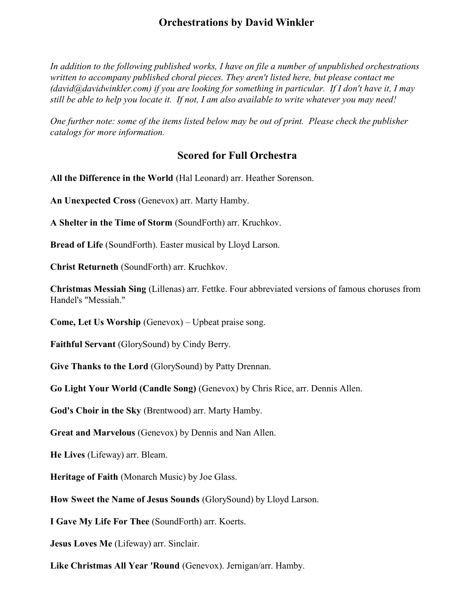In addition to the following published works, I have on file a number of unpublished orchestrations written to accompany published choral pieces. They aren't listed here, but please contact me  $(davidwidth$  david $@davidwidth$  in the somponie of you are looking for something in particular. If I don't have it, I may still be able to help you locate it. If not, I am also available to write whatever you may need!

One further note: some of the items listed below may be out of print. Please check the publisher catalogs for more information.

## Scored for Full Orchestra

All the Difference in the World (Hal Leonard) arr. Heather Sorenson.

An Unexpected Cross (Genevox) arr. Marty Hamby.

A Shelter in the Time of Storm (SoundForth) arr. Kruchkov.

Bread of Life (SoundForth). Easter musical by Lloyd Larson.

Christ Returneth (SoundForth) arr. Kruchkov.

Christmas Messiah Sing (Lillenas) arr. Fettke. Four abbreviated versions of famous choruses from Handel's "Messiah."

Come, Let Us Worship (Genevox) – Upbeat praise song.

Faithful Servant (GlorySound) by Cindy Berry.

Give Thanks to the Lord (GlorySound) by Patty Drennan.

Go Light Your World (Candle Song) (Genevox) by Chris Rice, arr. Dennis Allen.

God's Choir in the Sky (Brentwood) arr. Marty Hamby.

Great and Marvelous (Genevox) by Dennis and Nan Allen.

He Lives (Lifeway) arr. Bleam.

Heritage of Faith (Monarch Music) by Joe Glass.

How Sweet the Name of Jesus Sounds (GlorySound) by Lloyd Larson.

I Gave My Life For Thee (SoundForth) arr. Koerts.

Jesus Loves Me (Lifeway) arr. Sinclair.

Like Christmas All Year 'Round (Genevox). Jernigan/arr. Hamby.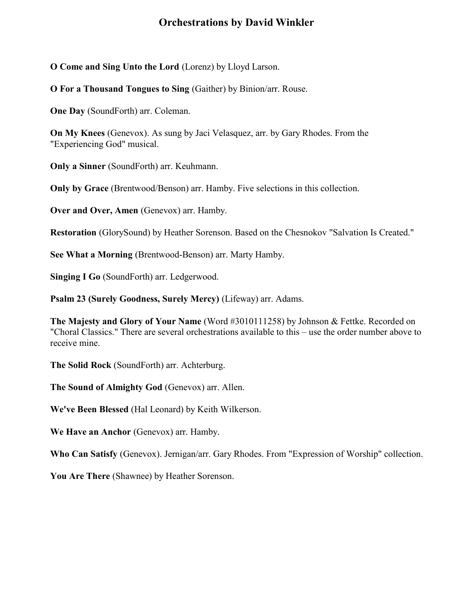O Come and Sing Unto the Lord (Lorenz) by Lloyd Larson.

O For a Thousand Tongues to Sing (Gaither) by Binion/arr. Rouse.

One Day (SoundForth) arr. Coleman.

On My Knees (Genevox). As sung by Jaci Velasquez, arr. by Gary Rhodes. From the "Experiencing God" musical.

Only a Sinner (SoundForth) arr. Keuhmann.

Only by Grace (Brentwood/Benson) arr. Hamby. Five selections in this collection.

Over and Over, Amen (Genevox) arr. Hamby.

Restoration (GlorySound) by Heather Sorenson. Based on the Chesnokov "Salvation Is Created."

See What a Morning (Brentwood-Benson) arr. Marty Hamby.

Singing I Go (SoundForth) arr. Ledgerwood.

Psalm 23 (Surely Goodness, Surely Mercy) (Lifeway) arr. Adams.

The Majesty and Glory of Your Name (Word #3010111258) by Johnson & Fettke. Recorded on "Choral Classics." There are several orchestrations available to this – use the order number above to receive mine.

The Solid Rock (SoundForth) arr. Achterburg.

The Sound of Almighty God (Genevox) arr. Allen.

We've Been Blessed (Hal Leonard) by Keith Wilkerson.

We Have an Anchor (Genevox) arr. Hamby.

Who Can Satisfy (Genevox). Jernigan/arr. Gary Rhodes. From "Expression of Worship" collection.

You Are There (Shawnee) by Heather Sorenson.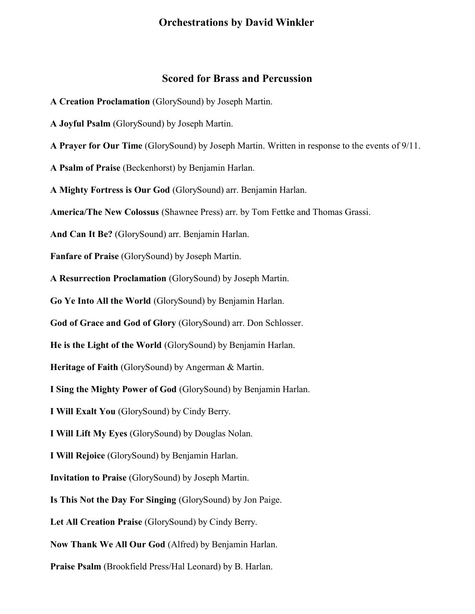#### Scored for Brass and Percussion

- A Creation Proclamation (GlorySound) by Joseph Martin.
- A Joyful Psalm (GlorySound) by Joseph Martin.

A Prayer for Our Time (GlorySound) by Joseph Martin. Written in response to the events of 9/11.

A Psalm of Praise (Beckenhorst) by Benjamin Harlan.

A Mighty Fortress is Our God (GlorySound) arr. Benjamin Harlan.

America/The New Colossus (Shawnee Press) arr. by Tom Fettke and Thomas Grassi.

And Can It Be? (GlorySound) arr. Benjamin Harlan.

Fanfare of Praise (GlorySound) by Joseph Martin.

A Resurrection Proclamation (GlorySound) by Joseph Martin.

Go Ye Into All the World (GlorySound) by Benjamin Harlan.

God of Grace and God of Glory (GlorySound) arr. Don Schlosser.

He is the Light of the World (GlorySound) by Benjamin Harlan.

Heritage of Faith (GlorySound) by Angerman & Martin.

I Sing the Mighty Power of God (GlorySound) by Benjamin Harlan.

I Will Exalt You (GlorySound) by Cindy Berry.

I Will Lift My Eyes (GlorySound) by Douglas Nolan.

I Will Rejoice (GlorySound) by Benjamin Harlan.

Invitation to Praise (GlorySound) by Joseph Martin.

Is This Not the Day For Singing (GlorySound) by Jon Paige.

Let All Creation Praise (GlorySound) by Cindy Berry.

Now Thank We All Our God (Alfred) by Benjamin Harlan.

Praise Psalm (Brookfield Press/Hal Leonard) by B. Harlan.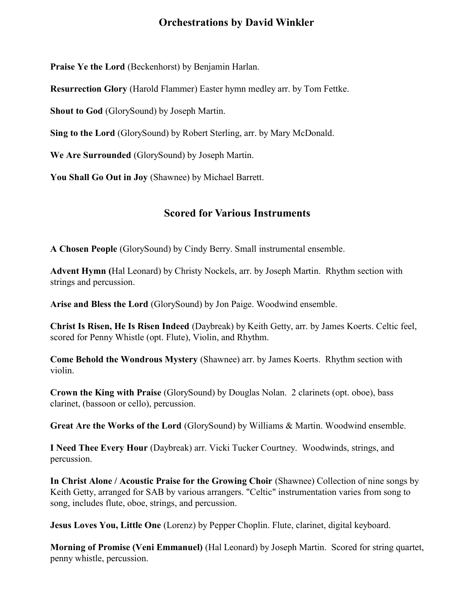Praise Ye the Lord (Beckenhorst) by Benjamin Harlan.

Resurrection Glory (Harold Flammer) Easter hymn medley arr. by Tom Fettke.

Shout to God (GlorySound) by Joseph Martin.

Sing to the Lord (GlorySound) by Robert Sterling, arr. by Mary McDonald.

We Are Surrounded (GlorySound) by Joseph Martin.

You Shall Go Out in Joy (Shawnee) by Michael Barrett.

### Scored for Various Instruments

A Chosen People (GlorySound) by Cindy Berry. Small instrumental ensemble.

Advent Hymn (Hal Leonard) by Christy Nockels, arr. by Joseph Martin. Rhythm section with strings and percussion.

Arise and Bless the Lord (GlorySound) by Jon Paige. Woodwind ensemble.

Christ Is Risen, He Is Risen Indeed (Daybreak) by Keith Getty, arr. by James Koerts. Celtic feel, scored for Penny Whistle (opt. Flute), Violin, and Rhythm.

Come Behold the Wondrous Mystery (Shawnee) arr. by James Koerts. Rhythm section with violin.

Crown the King with Praise (GlorySound) by Douglas Nolan. 2 clarinets (opt. oboe), bass clarinet, (bassoon or cello), percussion.

Great Are the Works of the Lord (GlorySound) by Williams & Martin. Woodwind ensemble.

I Need Thee Every Hour (Daybreak) arr. Vicki Tucker Courtney. Woodwinds, strings, and percussion.

In Christ Alone / Acoustic Praise for the Growing Choir (Shawnee) Collection of nine songs by Keith Getty, arranged for SAB by various arrangers. "Celtic" instrumentation varies from song to song, includes flute, oboe, strings, and percussion.

Jesus Loves You, Little One (Lorenz) by Pepper Choplin. Flute, clarinet, digital keyboard.

Morning of Promise (Veni Emmanuel) (Hal Leonard) by Joseph Martin. Scored for string quartet, penny whistle, percussion.